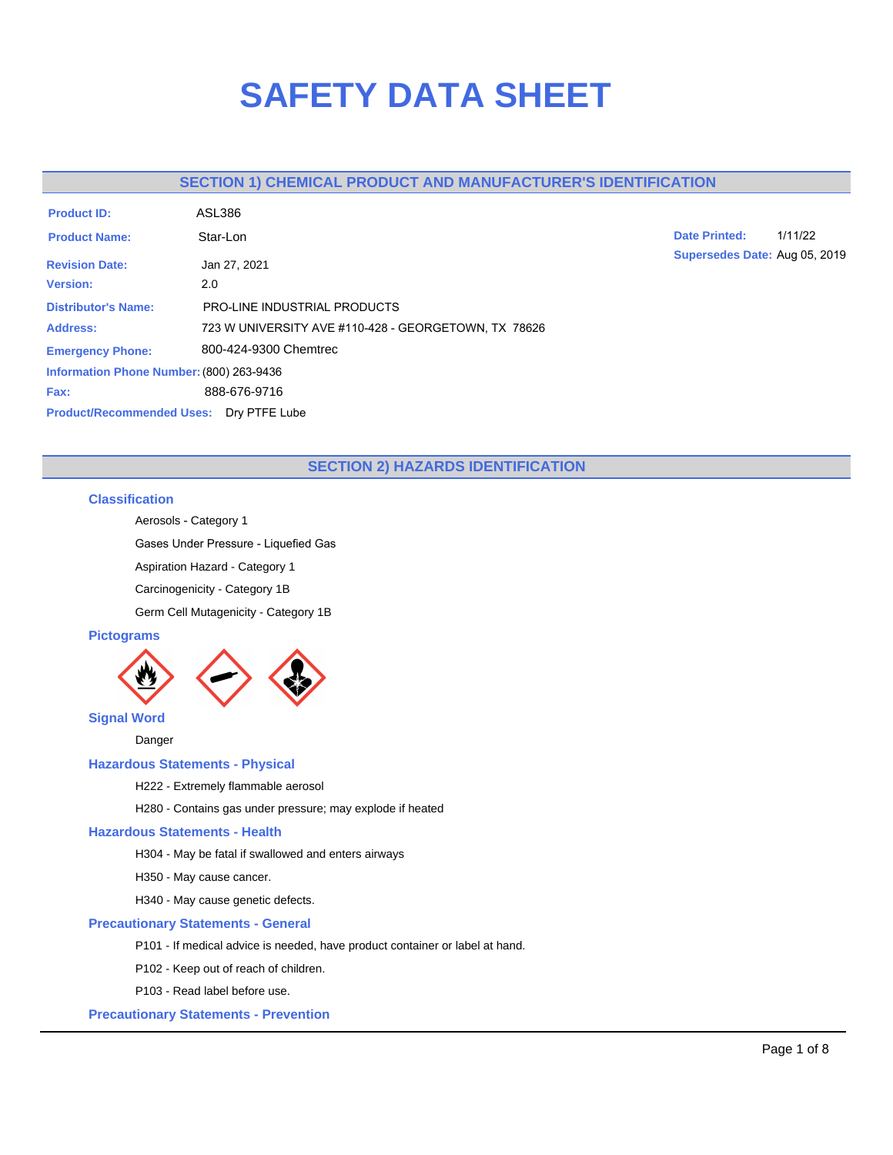# **SAFETY DATA SHEET**

# **SECTION 1) CHEMICAL PRODUCT AND MANUFACTURER'S IDENTIFICATION**

| <b>Product ID:</b>                             | <b>ASL386</b>                                        |
|------------------------------------------------|------------------------------------------------------|
| <b>Product Name:</b>                           | Star-Lon                                             |
| <b>Revision Date:</b>                          | Jan 27, 2021                                         |
| <b>Version:</b>                                | 2.0                                                  |
| <b>Distributor's Name:</b>                     | <b>PRO-LINE INDUSTRIAL PRODUCTS</b>                  |
| <b>Address:</b>                                | 723 W UNIVERSITY AVE #110-428 - GEORGETOWN, TX 78626 |
| <b>Emergency Phone:</b>                        | 800-424-9300 Chemtrec                                |
| Information Phone Number: (800) 263-9436       |                                                      |
| Fax:                                           | 888-676-9716                                         |
| <b>Product/Recommended Uses: Dry PTFE Lube</b> |                                                      |

**Date Printed:** 1/11/22 **Supersedes Date:** Aug 05, 2019

# **SECTION 2) HAZARDS IDENTIFICATION**

## **Classification**

Aerosols - Category 1

Gases Under Pressure - Liquefied Gas

Aspiration Hazard - Category 1

Carcinogenicity - Category 1B

Germ Cell Mutagenicity - Category 1B

## **Pictograms**



Danger

# **Hazardous Statements - Physical**

H222 - Extremely flammable aerosol

H280 - Contains gas under pressure; may explode if heated

## **Hazardous Statements - Health**

H304 - May be fatal if swallowed and enters airways

H350 - May cause cancer.

H340 - May cause genetic defects.

## **Precautionary Statements - General**

P101 - If medical advice is needed, have product container or label at hand.

P102 - Keep out of reach of children.

P103 - Read label before use.

**Precautionary Statements - Prevention**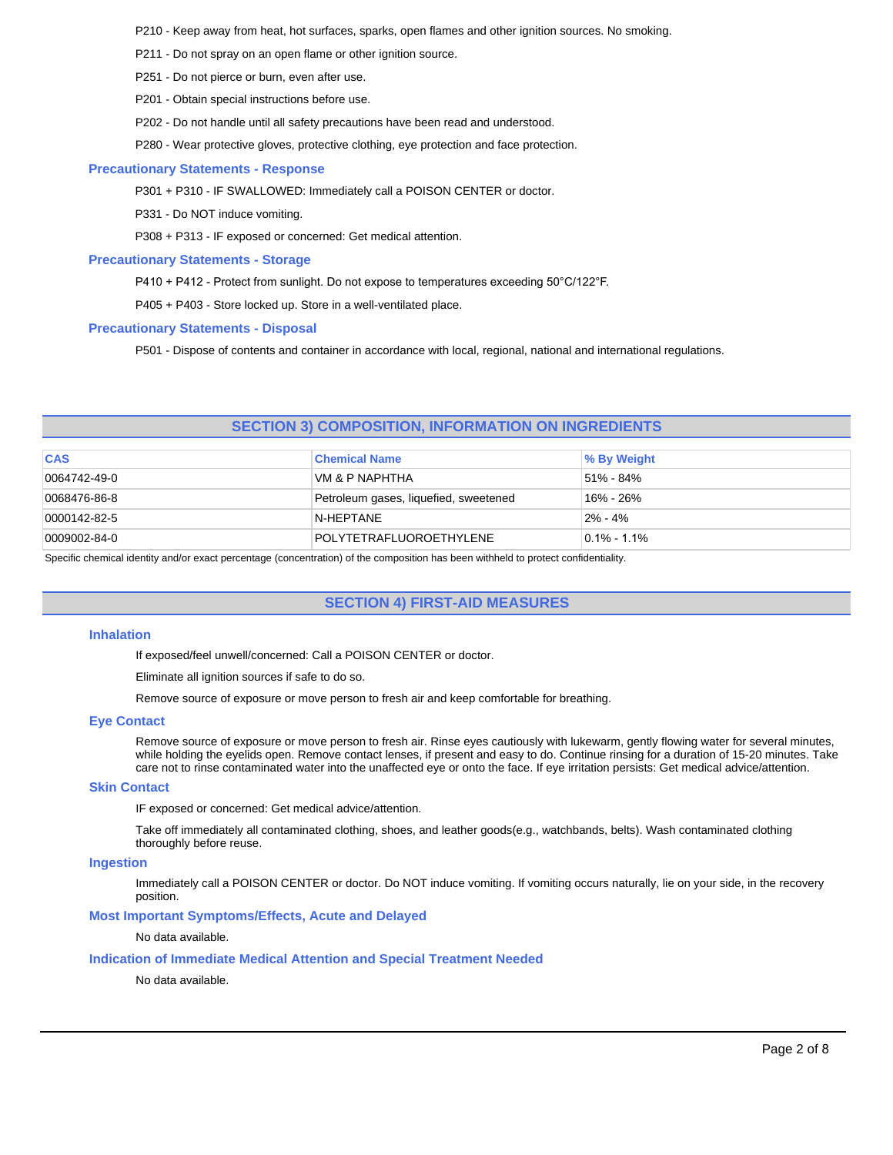P210 - Keep away from heat, hot surfaces, sparks, open flames and other ignition sources. No smoking.

- P211 Do not spray on an open flame or other ignition source.
- P251 Do not pierce or burn, even after use.
- P201 Obtain special instructions before use.
- P202 Do not handle until all safety precautions have been read and understood.
- P280 Wear protective gloves, protective clothing, eye protection and face protection.

## **Precautionary Statements - Response**

P301 + P310 - IF SWALLOWED: Immediately call a POISON CENTER or doctor.

P331 - Do NOT induce vomiting.

P308 + P313 - IF exposed or concerned: Get medical attention.

#### **Precautionary Statements - Storage**

P410 + P412 - Protect from sunlight. Do not expose to temperatures exceeding 50°C/122°F.

P405 + P403 - Store locked up. Store in a well-ventilated place.

#### **Precautionary Statements - Disposal**

P501 - Dispose of contents and container in accordance with local, regional, national and international regulations.

## **SECTION 3) COMPOSITION, INFORMATION ON INGREDIENTS**

| <b>CAS</b>           | <b>Chemical Name</b>                  | ∣% By Weight     |
|----------------------|---------------------------------------|------------------|
| 0064742-49-0         | VM & P NAPHTHA                        | l 51% - 84%      |
| 0068476-86-8         | Petroleum gases, liquefied, sweetened | 16% - 26%        |
| $ 0000142 - 82 - 5 $ | N-HEPTANE                             | $2\% - 4\%$      |
| 0009002-84-0         | POLYTETRAFLUOROETHYLENE               | $10.1\% - 1.1\%$ |

Specific chemical identity and/or exact percentage (concentration) of the composition has been withheld to protect confidentiality.

# **SECTION 4) FIRST-AID MEASURES**

#### **Inhalation**

If exposed/feel unwell/concerned: Call a POISON CENTER or doctor.

Eliminate all ignition sources if safe to do so.

Remove source of exposure or move person to fresh air and keep comfortable for breathing.

## **Eye Contact**

Remove source of exposure or move person to fresh air. Rinse eyes cautiously with lukewarm, gently flowing water for several minutes, while holding the eyelids open. Remove contact lenses, if present and easy to do. Continue rinsing for a duration of 15-20 minutes. Take care not to rinse contaminated water into the unaffected eye or onto the face. If eye irritation persists: Get medical advice/attention.

#### **Skin Contact**

IF exposed or concerned: Get medical advice/attention.

Take off immediately all contaminated clothing, shoes, and leather goods(e.g., watchbands, belts). Wash contaminated clothing thoroughly before reuse.

## **Ingestion**

Immediately call a POISON CENTER or doctor. Do NOT induce vomiting. If vomiting occurs naturally, lie on your side, in the recovery position.

## **Most Important Symptoms/Effects, Acute and Delayed**

No data available.

## **Indication of Immediate Medical Attention and Special Treatment Needed**

No data available.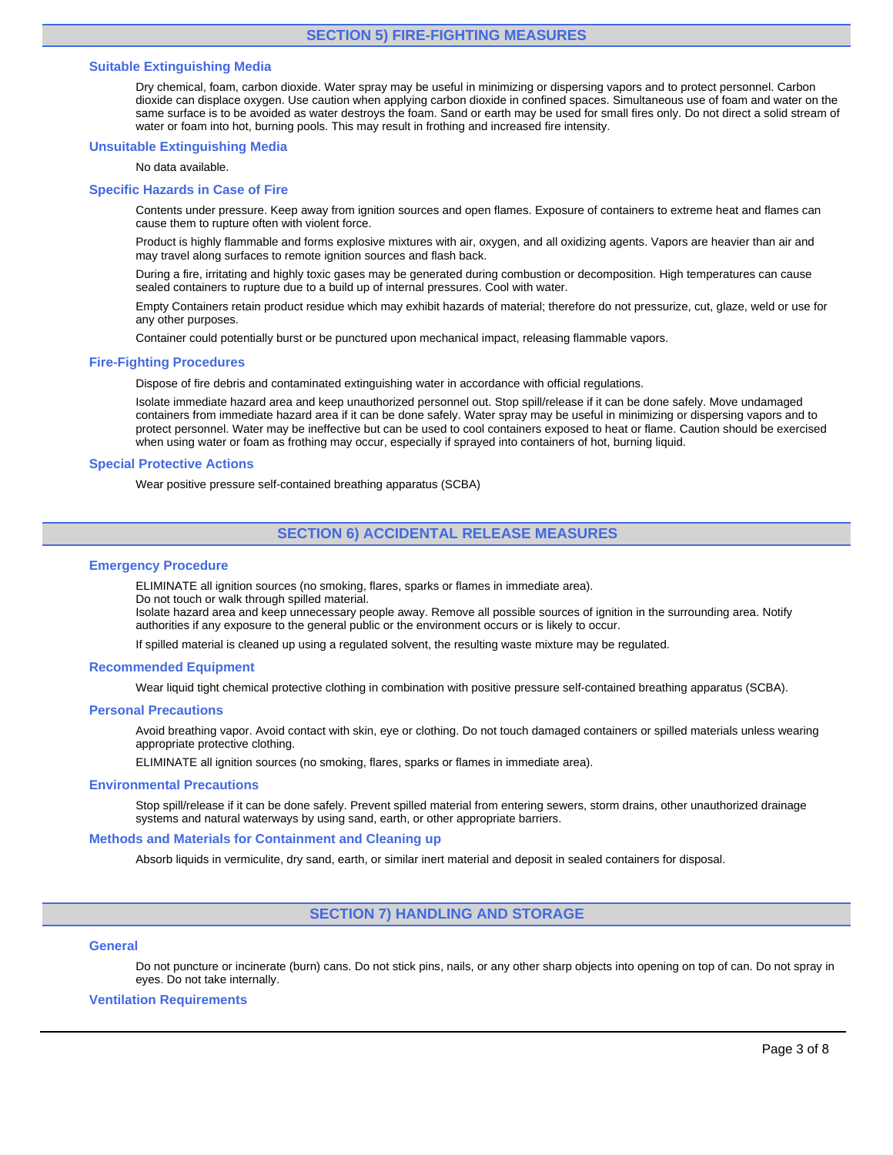## **SECTION 5) FIRE-FIGHTING MEASURES**

## **Suitable Extinguishing Media**

Dry chemical, foam, carbon dioxide. Water spray may be useful in minimizing or dispersing vapors and to protect personnel. Carbon dioxide can displace oxygen. Use caution when applying carbon dioxide in confined spaces. Simultaneous use of foam and water on the same surface is to be avoided as water destroys the foam. Sand or earth may be used for small fires only. Do not direct a solid stream of water or foam into hot, burning pools. This may result in frothing and increased fire intensity.

#### **Unsuitable Extinguishing Media**

No data available.

#### **Specific Hazards in Case of Fire**

Contents under pressure. Keep away from ignition sources and open flames. Exposure of containers to extreme heat and flames can cause them to rupture often with violent force.

Product is highly flammable and forms explosive mixtures with air, oxygen, and all oxidizing agents. Vapors are heavier than air and may travel along surfaces to remote ignition sources and flash back.

During a fire, irritating and highly toxic gases may be generated during combustion or decomposition. High temperatures can cause sealed containers to rupture due to a build up of internal pressures. Cool with water.

Empty Containers retain product residue which may exhibit hazards of material; therefore do not pressurize, cut, glaze, weld or use for any other purposes.

Container could potentially burst or be punctured upon mechanical impact, releasing flammable vapors.

#### **Fire-Fighting Procedures**

Dispose of fire debris and contaminated extinguishing water in accordance with official regulations.

Isolate immediate hazard area and keep unauthorized personnel out. Stop spill/release if it can be done safely. Move undamaged containers from immediate hazard area if it can be done safely. Water spray may be useful in minimizing or dispersing vapors and to protect personnel. Water may be ineffective but can be used to cool containers exposed to heat or flame. Caution should be exercised when using water or foam as frothing may occur, especially if sprayed into containers of hot, burning liquid.

#### **Special Protective Actions**

Wear positive pressure self-contained breathing apparatus (SCBA)

## **SECTION 6) ACCIDENTAL RELEASE MEASURES**

#### **Emergency Procedure**

ELIMINATE all ignition sources (no smoking, flares, sparks or flames in immediate area).

Do not touch or walk through spilled material.

Isolate hazard area and keep unnecessary people away. Remove all possible sources of ignition in the surrounding area. Notify authorities if any exposure to the general public or the environment occurs or is likely to occur.

If spilled material is cleaned up using a regulated solvent, the resulting waste mixture may be regulated.

#### **Recommended Equipment**

Wear liquid tight chemical protective clothing in combination with positive pressure self-contained breathing apparatus (SCBA).

#### **Personal Precautions**

Avoid breathing vapor. Avoid contact with skin, eye or clothing. Do not touch damaged containers or spilled materials unless wearing appropriate protective clothing.

ELIMINATE all ignition sources (no smoking, flares, sparks or flames in immediate area).

#### **Environmental Precautions**

Stop spill/release if it can be done safely. Prevent spilled material from entering sewers, storm drains, other unauthorized drainage systems and natural waterways by using sand, earth, or other appropriate barriers.

### **Methods and Materials for Containment and Cleaning up**

Absorb liquids in vermiculite, dry sand, earth, or similar inert material and deposit in sealed containers for disposal.

## **SECTION 7) HANDLING AND STORAGE**

## **General**

Do not puncture or incinerate (burn) cans. Do not stick pins, nails, or any other sharp objects into opening on top of can. Do not spray in eyes. Do not take internally.

#### **Ventilation Requirements**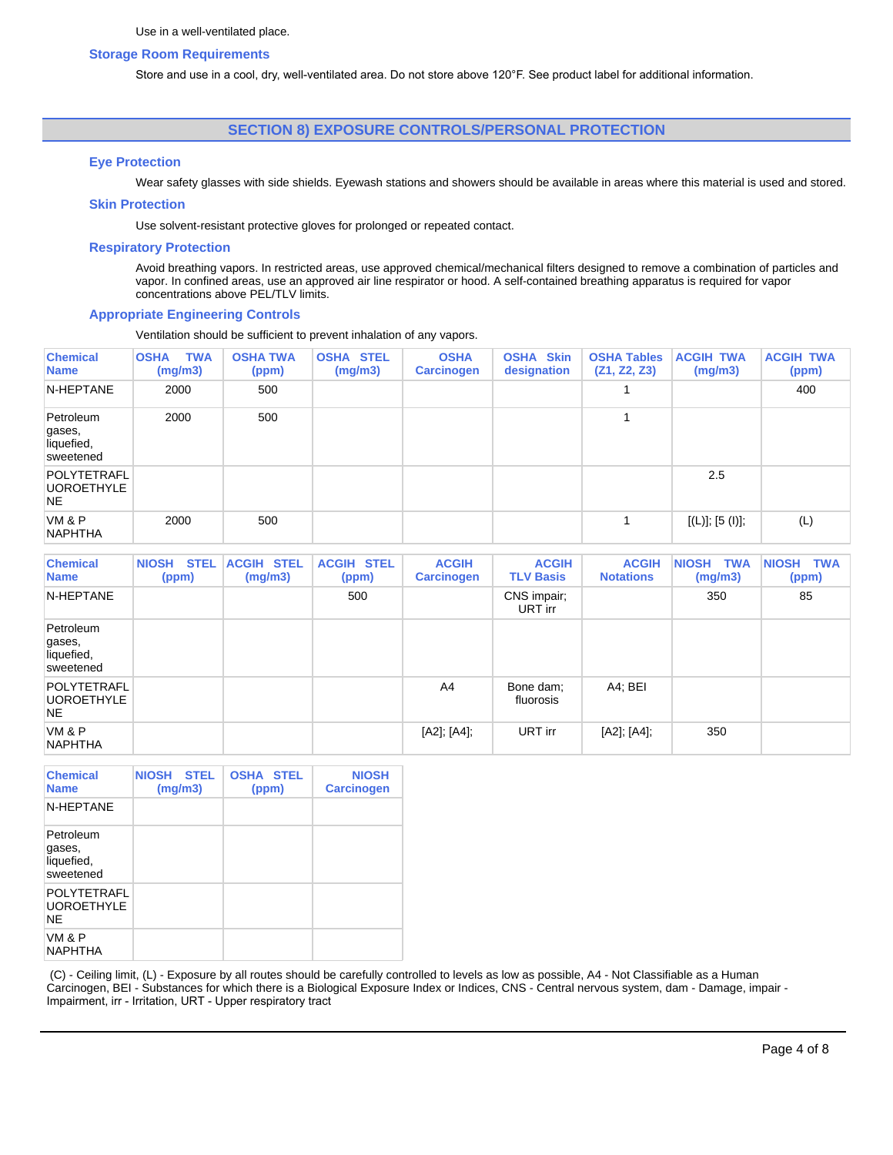## **Storage Room Requirements**

Store and use in a cool, dry, well-ventilated area. Do not store above 120°F. See product label for additional information.

## **SECTION 8) EXPOSURE CONTROLS/PERSONAL PROTECTION**

## **Eye Protection**

Wear safety glasses with side shields. Eyewash stations and showers should be available in areas where this material is used and stored.

#### **Skin Protection**

Use solvent-resistant protective gloves for prolonged or repeated contact.

## **Respiratory Protection**

Avoid breathing vapors. In restricted areas, use approved chemical/mechanical filters designed to remove a combination of particles and vapor. In confined areas, use an approved air line respirator or hood. A self-contained breathing apparatus is required for vapor concentrations above PEL/TLV limits.

#### **Appropriate Engineering Controls**

Ventilation should be sufficient to prevent inhalation of any vapors.

| <b>Chemical</b><br><b>Name</b>                 | <b>TWA</b><br><b>OSHA</b><br>(mg/m3) | <b>OSHA TWA</b><br>(ppm) | <b>OSHA STEL</b><br>(mg/m3) | <b>OSHA</b><br><b>Carcinogen</b> | <b>OSHA Skin</b><br>designation | <b>OSHA Tables</b><br>(Z1, Z2, Z3) | <b>ACGIH TWA</b><br>(mg/m3) | <b>ACGIH TWA</b><br>(ppm) |
|------------------------------------------------|--------------------------------------|--------------------------|-----------------------------|----------------------------------|---------------------------------|------------------------------------|-----------------------------|---------------------------|
| N-HEPTANE                                      | 2000                                 | 500                      |                             |                                  |                                 |                                    |                             | 400                       |
| Petroleum<br>gases,<br>liquefied,<br>sweetened | 2000                                 | 500                      |                             |                                  |                                 |                                    |                             |                           |
| POLYTETRAFL<br><b>UOROETHYLE</b><br>NE.        |                                      |                          |                             |                                  |                                 |                                    | 2.5                         |                           |
| VM & P<br><b>NAPHTHA</b>                       | 2000                                 | 500                      |                             |                                  |                                 | 4                                  | [(L)]; [5 (I)];             | (L)                       |

| <b>Chemical</b><br><b>Name</b>                 | <b>STEL</b><br><b>NIOSH</b><br>(ppm) | <b>ACGIH STEL</b><br>(mg/m3) | <b>ACGIH STEL</b><br>(ppm) | <b>ACGIH</b><br><b>Carcinogen</b> | <b>ACGIH</b><br><b>TLV Basis</b> | <b>ACGIH</b><br><b>Notations</b> | <b>NIOSH</b><br>TWA<br>(mg/m3) | NIOSH TWA<br>(ppm) |
|------------------------------------------------|--------------------------------------|------------------------------|----------------------------|-----------------------------------|----------------------------------|----------------------------------|--------------------------------|--------------------|
| N-HEPTANE                                      |                                      |                              | 500                        |                                   | CNS impair;<br>URT irr           |                                  | 350                            | 85                 |
| Petroleum<br>gases,<br>liquefied,<br>sweetened |                                      |                              |                            |                                   |                                  |                                  |                                |                    |
| POLYTETRAFL<br><b>UOROETHYLE</b><br><b>NE</b>  |                                      |                              |                            | A4                                | Bone dam;<br>fluorosis           | A4; BEI                          |                                |                    |
| VM & P<br><b>NAPHTHA</b>                       |                                      |                              |                            | [A2]; [A4];                       | URT irr                          | [A2]; [A4];                      | 350                            |                    |

| <b>Chemical</b><br><b>Name</b>                 | NIOSH STEL<br>(mg/m3) | <b>OSHA STEL</b><br>(ppm) | <b>NIOSH</b><br><b>Carcinogen</b> |
|------------------------------------------------|-----------------------|---------------------------|-----------------------------------|
| N-HEPTANE                                      |                       |                           |                                   |
| Petroleum<br>gases,<br>liquefied,<br>sweetened |                       |                           |                                   |
| POLYTETRAFL<br><b>UOROETHYLE</b><br>NF.        |                       |                           |                                   |
| VM & P<br><b>NAPHTHA</b>                       |                       |                           |                                   |

(C) - Ceiling limit, (L) - Exposure by all routes should be carefully controlled to levels as low as possible, A4 - Not Classifiable as a Human Carcinogen, BEI - Substances for which there is a Biological Exposure Index or Indices, CNS - Central nervous system, dam - Damage, impair - Impairment, irr - Irritation, URT - Upper respiratory tract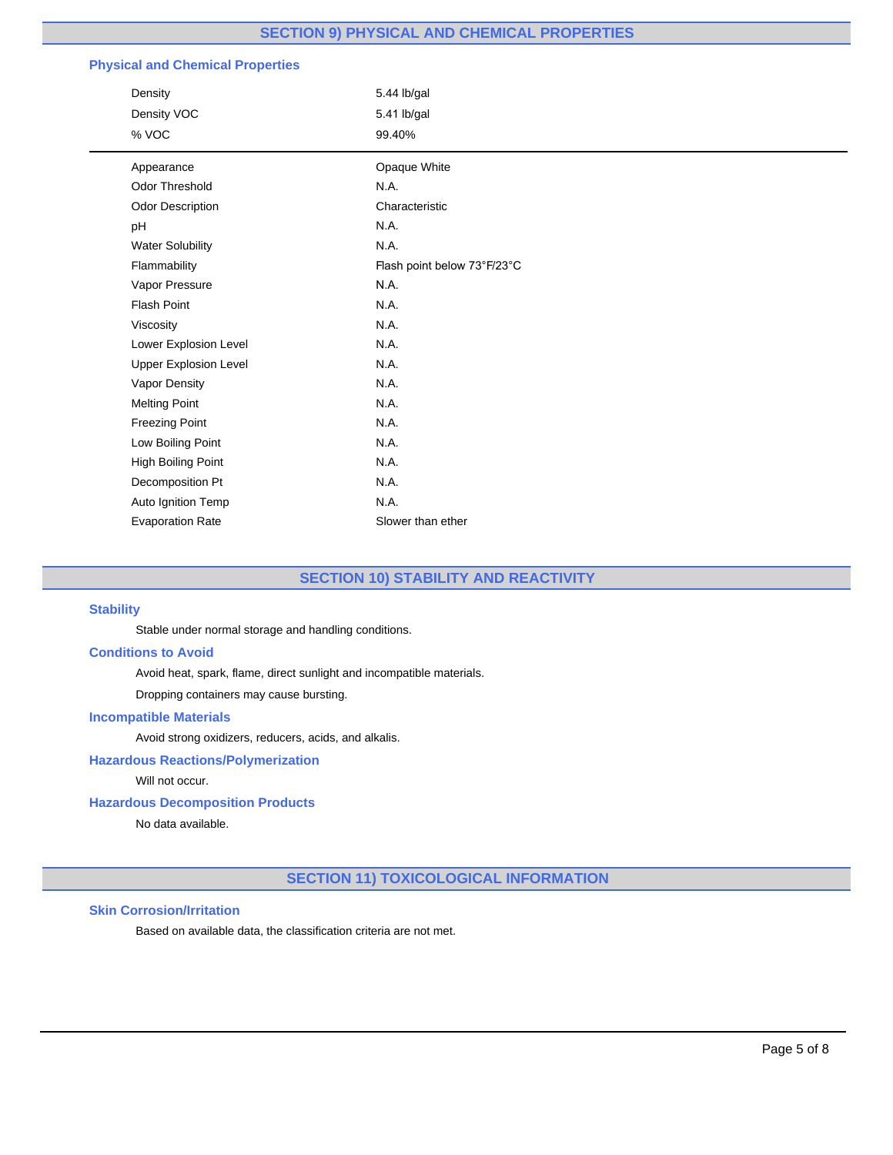# **SECTION 9) PHYSICAL AND CHEMICAL PROPERTIES**

# **Physical and Chemical Properties**

| Density                      | 5.44 lb/gal                 |
|------------------------------|-----------------------------|
| Density VOC                  | 5.41 lb/gal                 |
| % VOC                        | 99.40%                      |
| Appearance                   | Opaque White                |
| <b>Odor Threshold</b>        | N.A.                        |
| Odor Description             | Characteristic              |
| pH                           | N.A.                        |
| <b>Water Solubility</b>      | N.A.                        |
| Flammability                 | Flash point below 73°F/23°C |
| Vapor Pressure               | N.A.                        |
| <b>Flash Point</b>           | N.A.                        |
| Viscosity                    | N.A.                        |
| Lower Explosion Level        | N.A.                        |
| <b>Upper Explosion Level</b> | N.A.                        |
| Vapor Density                | N.A.                        |
| <b>Melting Point</b>         | N.A.                        |
| <b>Freezing Point</b>        | N.A.                        |
| Low Boiling Point            | N.A.                        |
| High Boiling Point           | N.A.                        |
| Decomposition Pt             | N.A.                        |
| Auto Ignition Temp           | N.A.                        |
| <b>Evaporation Rate</b>      | Slower than ether           |

# **SECTION 10) STABILITY AND REACTIVITY**

## **Stability**

Stable under normal storage and handling conditions.

## **Conditions to Avoid**

Avoid heat, spark, flame, direct sunlight and incompatible materials.

Dropping containers may cause bursting.

## **Incompatible Materials**

Avoid strong oxidizers, reducers, acids, and alkalis.

## **Hazardous Reactions/Polymerization**

Will not occur.

## **Hazardous Decomposition Products**

No data available.

# **SECTION 11) TOXICOLOGICAL INFORMATION**

## **Skin Corrosion/Irritation**

Based on available data, the classification criteria are not met.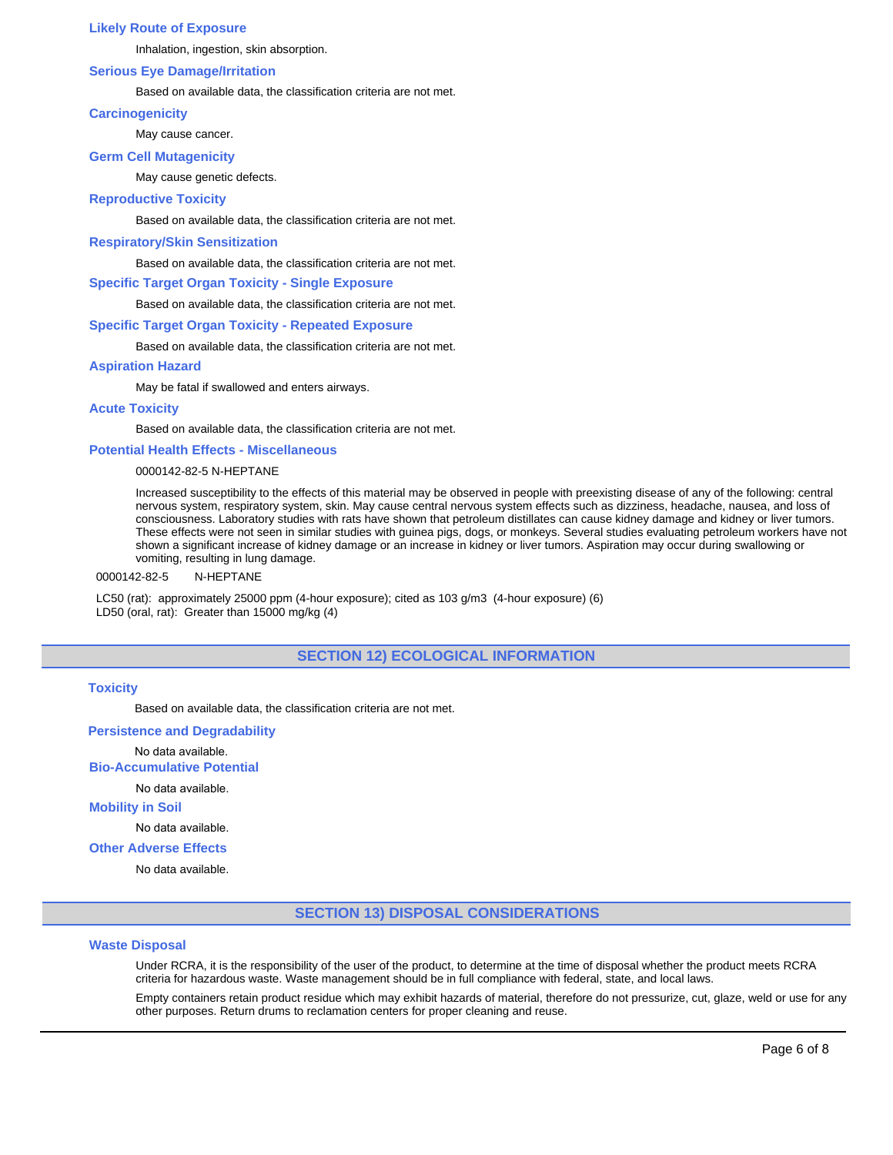## **Likely Route of Exposure**

Inhalation, ingestion, skin absorption.

## **Serious Eye Damage/Irritation**

#### Based on available data, the classification criteria are not met.

## **Carcinogenicity**

May cause cancer.

## **Germ Cell Mutagenicity**

May cause genetic defects.

## **Reproductive Toxicity**

Based on available data, the classification criteria are not met.

#### **Respiratory/Skin Sensitization**

Based on available data, the classification criteria are not met.

## **Specific Target Organ Toxicity - Single Exposure**

Based on available data, the classification criteria are not met.

#### **Specific Target Organ Toxicity - Repeated Exposure**

Based on available data, the classification criteria are not met.

#### **Aspiration Hazard**

May be fatal if swallowed and enters airways.

## **Acute Toxicity**

Based on available data, the classification criteria are not met.

## **Potential Health Effects - Miscellaneous**

## 0000142-82-5 N-HEPTANE

Increased susceptibility to the effects of this material may be observed in people with preexisting disease of any of the following: central nervous system, respiratory system, skin. May cause central nervous system effects such as dizziness, headache, nausea, and loss of consciousness. Laboratory studies with rats have shown that petroleum distillates can cause kidney damage and kidney or liver tumors. These effects were not seen in similar studies with guinea pigs, dogs, or monkeys. Several studies evaluating petroleum workers have not shown a significant increase of kidney damage or an increase in kidney or liver tumors. Aspiration may occur during swallowing or vomiting, resulting in lung damage.

#### 0000142-82-5 N-HEPTANE

LC50 (rat): approximately 25000 ppm (4-hour exposure); cited as 103 g/m3 (4-hour exposure) (6) LD50 (oral, rat): Greater than 15000 mg/kg (4)

# **SECTION 12) ECOLOGICAL INFORMATION**

## **Toxicity**

Based on available data, the classification criteria are not met.

## **Persistence and Degradability**

No data available.

**Bio-Accumulative Potential**

## No data available.

## **Mobility in Soil**

No data available.

## **Other Adverse Effects**

No data available.

## **SECTION 13) DISPOSAL CONSIDERATIONS**

#### **Waste Disposal**

Under RCRA, it is the responsibility of the user of the product, to determine at the time of disposal whether the product meets RCRA criteria for hazardous waste. Waste management should be in full compliance with federal, state, and local laws.

Empty containers retain product residue which may exhibit hazards of material, therefore do not pressurize, cut, glaze, weld or use for any other purposes. Return drums to reclamation centers for proper cleaning and reuse.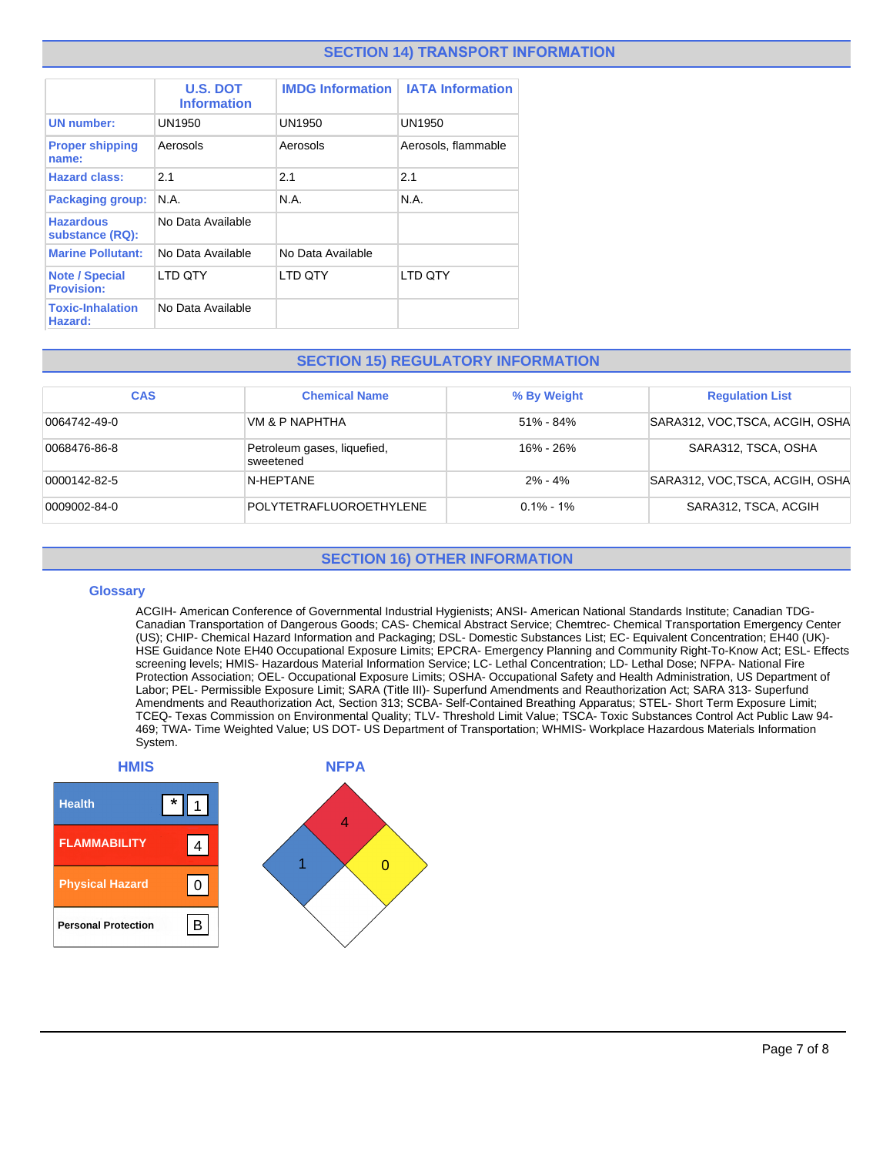# **SECTION 14) TRANSPORT INFORMATION**

|                                            |                                       |                         | <b>IATA Information</b> |
|--------------------------------------------|---------------------------------------|-------------------------|-------------------------|
|                                            | <b>U.S. DOT</b><br><b>Information</b> | <b>IMDG Information</b> |                         |
| <b>UN number:</b>                          | UN1950                                | <b>UN1950</b>           | UN1950                  |
| <b>Proper shipping</b><br>name:            | Aerosols                              | Aerosols                | Aerosols, flammable     |
| <b>Hazard class:</b>                       | 2.1                                   | 2.1                     | 2.1                     |
| <b>Packaging group:</b>                    | N.A.                                  | N.A.                    | N.A.                    |
| <b>Hazardous</b><br>substance (RQ):        | No Data Available                     |                         |                         |
| <b>Marine Pollutant:</b>                   | No Data Available                     | No Data Available       |                         |
| <b>Note / Special</b><br><b>Provision:</b> | LTD QTY                               | LTD QTY                 | LTD QTY                 |
| <b>Toxic-Inhalation</b><br>Hazard:         | No Data Available                     |                         |                         |

# **SECTION 15) REGULATORY INFORMATION**

| <b>CAS</b>   | <b>Chemical Name</b>                     | % By Weight   | <b>Regulation List</b>          |
|--------------|------------------------------------------|---------------|---------------------------------|
| 0064742-49-0 | VM & P NAPHTHA                           | $51\% - 84\%$ | SARA312, VOC, TSCA, ACGIH, OSHA |
| 0068476-86-8 | Petroleum gases, liquefied,<br>sweetened | 16% - 26%     | SARA312, TSCA, OSHA             |
| 0000142-82-5 | N-HEPTANE                                | $2\% - 4\%$   | SARA312, VOC, TSCA, ACGIH, OSHA |
| 0009002-84-0 | POLYTETRAFLUOROETHYLENE                  | $0.1\% - 1\%$ | SARA312, TSCA, ACGIH            |

# **SECTION 16) OTHER INFORMATION**

#### **Glossary**

ACGIH- American Conference of Governmental Industrial Hygienists; ANSI- American National Standards Institute; Canadian TDG-Canadian Transportation of Dangerous Goods; CAS- Chemical Abstract Service; Chemtrec- Chemical Transportation Emergency Center (US); CHIP- Chemical Hazard Information and Packaging; DSL- Domestic Substances List; EC- Equivalent Concentration; EH40 (UK)- HSE Guidance Note EH40 Occupational Exposure Limits; EPCRA- Emergency Planning and Community Right-To-Know Act; ESL- Effects screening levels; HMIS- Hazardous Material Information Service; LC- Lethal Concentration; LD- Lethal Dose; NFPA- National Fire Protection Association; OEL- Occupational Exposure Limits; OSHA- Occupational Safety and Health Administration, US Department of Labor; PEL- Permissible Exposure Limit; SARA (Title III)- Superfund Amendments and Reauthorization Act; SARA 313- Superfund Amendments and Reauthorization Act, Section 313; SCBA- Self-Contained Breathing Apparatus; STEL- Short Term Exposure Limit; TCEQ- Texas Commission on Environmental Quality; TLV- Threshold Limit Value; TSCA- Toxic Substances Control Act Public Law 94- 469; TWA- Time Weighted Value; US DOT- US Department of Transportation; WHMIS- Workplace Hazardous Materials Information System.